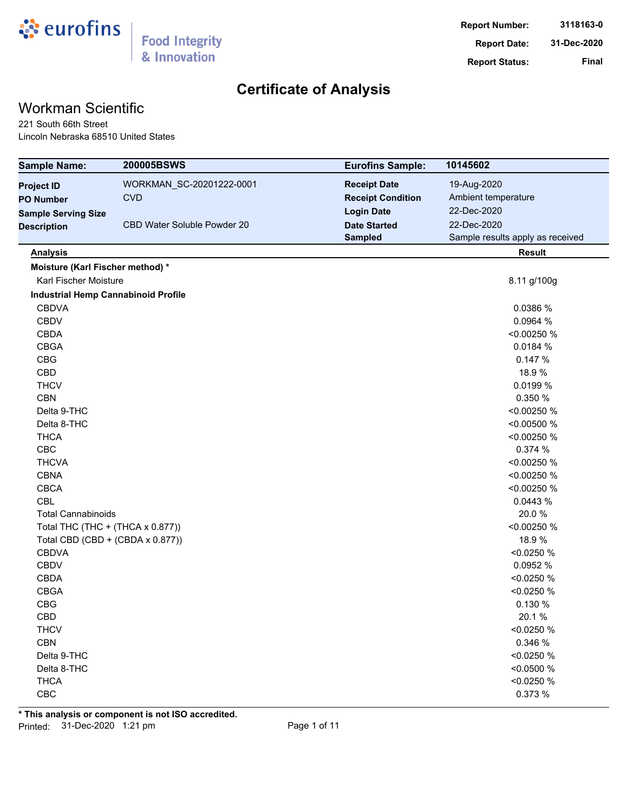

## Workman Scientific

221 South 66th Street Lincoln Nebraska 68510 United States

| <b>Sample Name:</b>                        | 200005BSWS                  | <b>Eurofins Sample:</b>  | 10145602                         |
|--------------------------------------------|-----------------------------|--------------------------|----------------------------------|
| <b>Project ID</b>                          | WORKMAN_SC-20201222-0001    | <b>Receipt Date</b>      | 19-Aug-2020                      |
| <b>PO Number</b>                           | <b>CVD</b>                  | <b>Receipt Condition</b> | Ambient temperature              |
| <b>Sample Serving Size</b>                 |                             | <b>Login Date</b>        | 22-Dec-2020                      |
| <b>Description</b>                         | CBD Water Soluble Powder 20 | <b>Date Started</b>      | 22-Dec-2020                      |
|                                            |                             | <b>Sampled</b>           | Sample results apply as received |
| <b>Analysis</b>                            |                             |                          | <b>Result</b>                    |
| Moisture (Karl Fischer method) *           |                             |                          |                                  |
| <b>Karl Fischer Moisture</b>               |                             |                          | 8.11 g/100g                      |
| <b>Industrial Hemp Cannabinoid Profile</b> |                             |                          |                                  |
| <b>CBDVA</b>                               |                             |                          | 0.0386 %                         |
| <b>CBDV</b>                                |                             |                          | 0.0964 %                         |
| <b>CBDA</b>                                |                             |                          | <0.00250 %                       |
| <b>CBGA</b>                                |                             |                          | 0.0184 %                         |
| CBG                                        |                             |                          | 0.147 %                          |
| CBD                                        |                             |                          | 18.9%                            |
| <b>THCV</b>                                |                             |                          | 0.0199 %                         |
| <b>CBN</b>                                 |                             |                          | 0.350 %                          |
| Delta 9-THC                                |                             |                          | <0.00250 %                       |
| Delta 8-THC                                |                             |                          | <0.00500 %                       |
| <b>THCA</b>                                |                             |                          | <0.00250 %                       |
| CBC                                        |                             |                          | 0.374 %                          |
| <b>THCVA</b>                               |                             |                          | <0.00250 %                       |
| <b>CBNA</b>                                |                             |                          | <0.00250 %                       |
| <b>CBCA</b>                                |                             |                          | <0.00250 %                       |
| <b>CBL</b>                                 |                             |                          | 0.0443 %                         |
| <b>Total Cannabinoids</b>                  |                             |                          | 20.0%                            |
| Total THC (THC + (THCA x 0.877))           |                             |                          | <0.00250 %                       |
| Total CBD (CBD + (CBDA x 0.877))           |                             |                          | 18.9%                            |
| <b>CBDVA</b>                               |                             |                          | < 0.0250 %                       |
| <b>CBDV</b>                                |                             |                          | 0.0952 %                         |
| <b>CBDA</b>                                |                             |                          | < 0.0250 %                       |
| <b>CBGA</b>                                |                             |                          | < 0.0250 %                       |
| CBG                                        |                             |                          | 0.130 %                          |
| CBD                                        |                             |                          | 20.1%                            |
| <b>THCV</b>                                |                             |                          | < 0.0250 %                       |
| <b>CBN</b>                                 |                             |                          | 0.346 %                          |
| Delta 9-THC                                |                             |                          | < 0.0250 %                       |
| Delta 8-THC                                |                             |                          | < 0.0500 %                       |
| <b>THCA</b>                                |                             |                          | < 0.0250 %                       |
| CBC                                        |                             |                          | 0.373 %                          |

**\* This analysis or component is not ISO accredited.** Printed: 31-Dec-2020 1:21 pm Page 1 of 11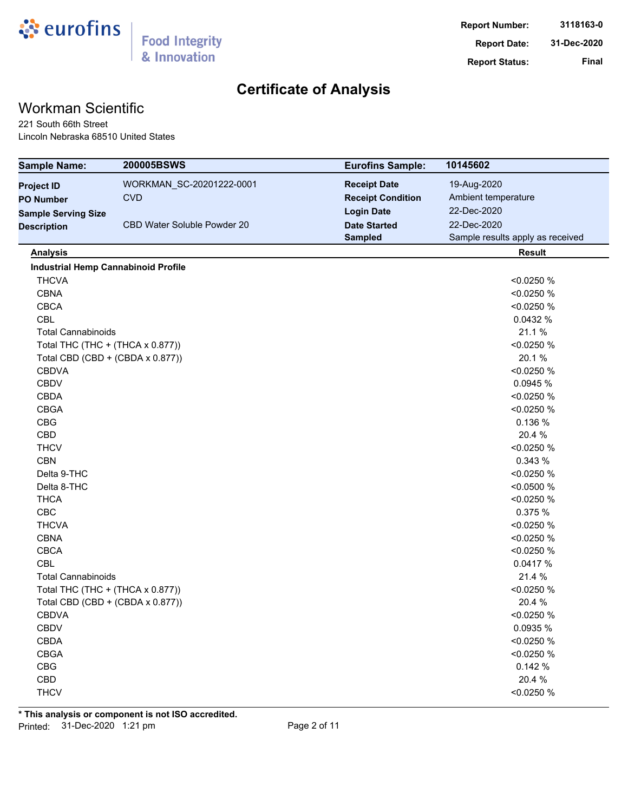

# Workman Scientific

221 South 66th Street Lincoln Nebraska 68510 United States

| <b>Sample Name:</b>                        | 200005BSWS                       | <b>Eurofins Sample:</b>  | 10145602                         |
|--------------------------------------------|----------------------------------|--------------------------|----------------------------------|
| <b>Project ID</b>                          | WORKMAN_SC-20201222-0001         | <b>Receipt Date</b>      | 19-Aug-2020                      |
| <b>PO Number</b>                           | <b>CVD</b>                       | <b>Receipt Condition</b> | Ambient temperature              |
| <b>Sample Serving Size</b>                 |                                  | <b>Login Date</b>        | 22-Dec-2020                      |
| <b>Description</b>                         | CBD Water Soluble Powder 20      | <b>Date Started</b>      | 22-Dec-2020                      |
|                                            |                                  | <b>Sampled</b>           | Sample results apply as received |
| <b>Analysis</b>                            |                                  |                          | <b>Result</b>                    |
| <b>Industrial Hemp Cannabinoid Profile</b> |                                  |                          |                                  |
| <b>THCVA</b>                               |                                  |                          | < 0.0250 %                       |
| <b>CBNA</b>                                |                                  |                          | < 0.0250 %                       |
| <b>CBCA</b>                                |                                  |                          | < 0.0250 %                       |
| <b>CBL</b>                                 |                                  |                          | 0.0432 %                         |
| <b>Total Cannabinoids</b>                  |                                  |                          | 21.1%                            |
|                                            | Total THC (THC + (THCA x 0.877)) |                          | < 0.0250 %                       |
|                                            | Total CBD (CBD + (CBDA x 0.877)) |                          | 20.1%                            |
| <b>CBDVA</b>                               |                                  |                          | < 0.0250 %                       |
| <b>CBDV</b>                                |                                  |                          | 0.0945 %                         |
| <b>CBDA</b>                                |                                  |                          | < 0.0250 %                       |
| <b>CBGA</b>                                |                                  |                          | < 0.0250 %                       |
| <b>CBG</b>                                 |                                  |                          | 0.136 %                          |
| CBD                                        |                                  |                          | 20.4 %                           |
| <b>THCV</b>                                |                                  |                          | < 0.0250 %                       |
| <b>CBN</b>                                 |                                  |                          | 0.343 %                          |
| Delta 9-THC                                |                                  |                          | < 0.0250 %                       |
| Delta 8-THC                                |                                  |                          | < 0.0500 %                       |
| <b>THCA</b>                                |                                  |                          | < 0.0250 %                       |
| CBC                                        |                                  |                          | 0.375 %                          |
| <b>THCVA</b>                               |                                  |                          | < 0.0250 %                       |
| <b>CBNA</b>                                |                                  |                          | < 0.0250 %                       |
| <b>CBCA</b>                                |                                  |                          | < 0.0250 %                       |
| CBL                                        |                                  |                          | 0.0417 %                         |
| <b>Total Cannabinoids</b>                  |                                  |                          | 21.4 %                           |
|                                            | Total THC (THC + (THCA x 0.877)) |                          | < 0.0250 %                       |
|                                            | Total CBD (CBD + (CBDA x 0.877)) |                          | 20.4 %                           |
| <b>CBDVA</b>                               |                                  |                          | < 0.0250 %                       |
| <b>CBDV</b>                                |                                  |                          | 0.0935 %                         |
| CBDA                                       |                                  |                          | < 0.0250 %                       |
| <b>CBGA</b>                                |                                  |                          | < 0.0250 %                       |
| CBG                                        |                                  |                          | 0.142 %                          |
| CBD                                        |                                  |                          | 20.4 %                           |
| <b>THCV</b>                                |                                  |                          | < 0.0250 %                       |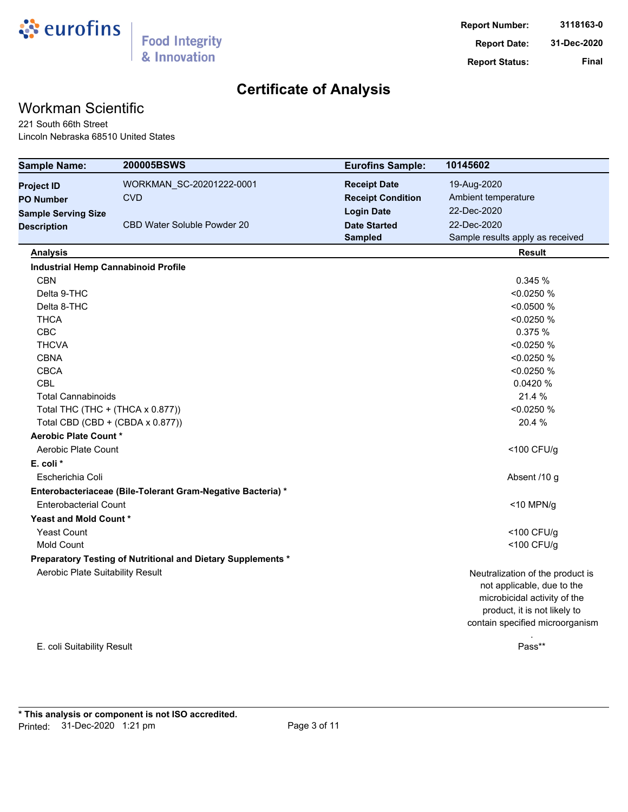

# Workman Scientific

221 South 66th Street Lincoln Nebraska 68510 United States

| <b>Sample Name:</b>              | 200005BSWS                                                   | <b>Eurofins Sample:</b>  | 10145602                         |
|----------------------------------|--------------------------------------------------------------|--------------------------|----------------------------------|
| <b>Project ID</b>                | WORKMAN_SC-20201222-0001                                     | <b>Receipt Date</b>      | 19-Aug-2020                      |
| <b>PO Number</b>                 | <b>CVD</b>                                                   | <b>Receipt Condition</b> | Ambient temperature              |
| <b>Sample Serving Size</b>       |                                                              | <b>Login Date</b>        | 22-Dec-2020                      |
| <b>Description</b>               | CBD Water Soluble Powder 20                                  | <b>Date Started</b>      | 22-Dec-2020                      |
|                                  |                                                              | <b>Sampled</b>           | Sample results apply as received |
| <b>Analysis</b>                  |                                                              |                          | <b>Result</b>                    |
|                                  | <b>Industrial Hemp Cannabinoid Profile</b>                   |                          |                                  |
| <b>CBN</b>                       |                                                              |                          | 0.345 %                          |
| Delta 9-THC                      |                                                              |                          | < 0.0250 %                       |
| Delta 8-THC                      |                                                              |                          | < 0.0500 %                       |
| <b>THCA</b>                      |                                                              |                          | < 0.0250 %                       |
| <b>CBC</b>                       |                                                              |                          | 0.375 %                          |
| <b>THCVA</b>                     |                                                              |                          | < 0.0250 %                       |
| <b>CBNA</b>                      |                                                              |                          | < 0.0250 %                       |
| <b>CBCA</b>                      |                                                              |                          | < 0.0250 %                       |
| <b>CBL</b>                       |                                                              |                          | 0.0420 %                         |
| <b>Total Cannabinoids</b>        |                                                              |                          | 21.4 %                           |
|                                  | Total THC (THC + (THCA x 0.877))                             |                          | < 0.0250 %                       |
|                                  | Total CBD (CBD + (CBDA x 0.877))                             |                          | 20.4 %                           |
| Aerobic Plate Count *            |                                                              |                          |                                  |
| Aerobic Plate Count              |                                                              |                          | <100 CFU/g                       |
| E. coli *                        |                                                              |                          |                                  |
| Escherichia Coli                 |                                                              |                          | Absent /10 g                     |
|                                  | Enterobacteriaceae (Bile-Tolerant Gram-Negative Bacteria) *  |                          |                                  |
| <b>Enterobacterial Count</b>     |                                                              |                          | <10 MPN/g                        |
| Yeast and Mold Count *           |                                                              |                          |                                  |
| <b>Yeast Count</b>               |                                                              |                          | <100 CFU/g                       |
| <b>Mold Count</b>                |                                                              |                          | <100 CFU/g                       |
|                                  | Preparatory Testing of Nutritional and Dietary Supplements * |                          |                                  |
| Aerobic Plate Suitability Result |                                                              |                          | Neutralization of the product is |
|                                  |                                                              |                          | not applicable, due to the       |
|                                  |                                                              |                          | microbicidal activity of the     |
|                                  |                                                              |                          | product, it is not likely to     |
|                                  |                                                              |                          | contain specified microorganism  |
|                                  |                                                              |                          |                                  |

E. coli Suitability Result

Pass\*\*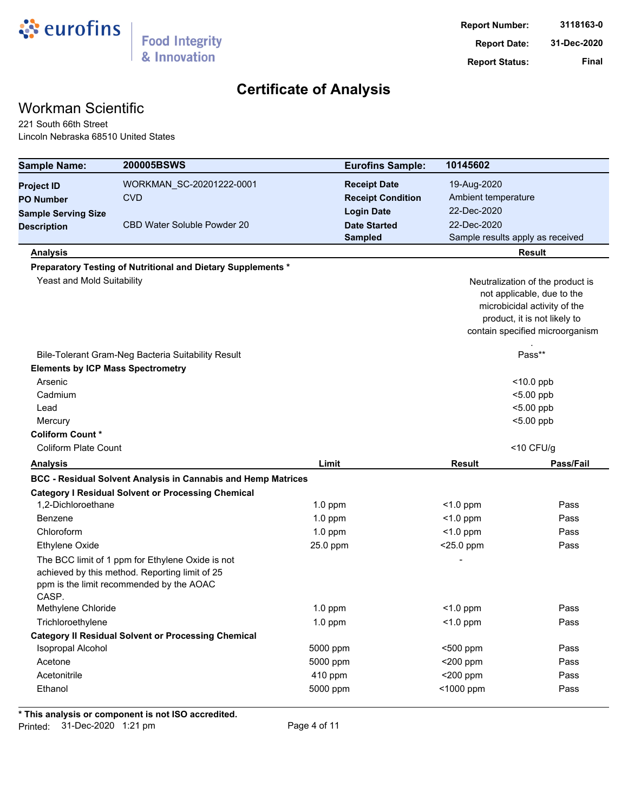

## Workman Scientific

221 South 66th Street Lincoln Nebraska 68510 United States

| <b>Sample Name:</b>                      | 200005BSWS                                                                                                                                     | <b>Eurofins Sample:</b>  | 10145602                         |                                  |  |
|------------------------------------------|------------------------------------------------------------------------------------------------------------------------------------------------|--------------------------|----------------------------------|----------------------------------|--|
| <b>Project ID</b>                        | WORKMAN_SC-20201222-0001                                                                                                                       | <b>Receipt Date</b>      | 19-Aug-2020                      |                                  |  |
| <b>PO Number</b>                         | <b>CVD</b>                                                                                                                                     | <b>Receipt Condition</b> | Ambient temperature              |                                  |  |
| <b>Sample Serving Size</b>               |                                                                                                                                                | <b>Login Date</b>        | 22-Dec-2020                      |                                  |  |
| <b>Description</b>                       | <b>CBD Water Soluble Powder 20</b>                                                                                                             | <b>Date Started</b>      | 22-Dec-2020                      |                                  |  |
|                                          |                                                                                                                                                | <b>Sampled</b>           | Sample results apply as received |                                  |  |
| <b>Analysis</b>                          |                                                                                                                                                |                          |                                  | <b>Result</b>                    |  |
|                                          | Preparatory Testing of Nutritional and Dietary Supplements *                                                                                   |                          |                                  |                                  |  |
| Yeast and Mold Suitability               |                                                                                                                                                |                          |                                  | Neutralization of the product is |  |
|                                          |                                                                                                                                                |                          |                                  | not applicable, due to the       |  |
|                                          |                                                                                                                                                |                          |                                  | microbicidal activity of the     |  |
|                                          |                                                                                                                                                |                          |                                  | product, it is not likely to     |  |
|                                          |                                                                                                                                                |                          |                                  | contain specified microorganism  |  |
|                                          | Bile-Tolerant Gram-Neg Bacteria Suitability Result                                                                                             |                          |                                  | Pass**                           |  |
| <b>Elements by ICP Mass Spectrometry</b> |                                                                                                                                                |                          |                                  |                                  |  |
| Arsenic                                  |                                                                                                                                                |                          |                                  | $<$ 10.0 ppb                     |  |
| Cadmium                                  |                                                                                                                                                |                          |                                  | $< 5.00$ ppb                     |  |
| Lead                                     |                                                                                                                                                |                          |                                  | $<$ 5.00 ppb                     |  |
| Mercury                                  |                                                                                                                                                |                          |                                  | $<$ 5.00 ppb                     |  |
| <b>Coliform Count*</b>                   |                                                                                                                                                |                          |                                  |                                  |  |
| <b>Coliform Plate Count</b>              |                                                                                                                                                |                          |                                  | $<$ 10 CFU/g                     |  |
| <b>Analysis</b>                          |                                                                                                                                                | Limit                    | <b>Result</b>                    | Pass/Fail                        |  |
|                                          | <b>BCC - Residual Solvent Analysis in Cannabis and Hemp Matrices</b>                                                                           |                          |                                  |                                  |  |
|                                          | <b>Category I Residual Solvent or Processing Chemical</b>                                                                                      |                          |                                  |                                  |  |
| 1,2-Dichloroethane                       |                                                                                                                                                | $1.0$ ppm                | $<$ 1.0 ppm                      | Pass                             |  |
| Benzene                                  |                                                                                                                                                | $1.0$ ppm                | $<$ 1.0 ppm                      | Pass                             |  |
| Chloroform                               |                                                                                                                                                | $1.0$ ppm                | $<$ 1.0 ppm                      | Pass                             |  |
| <b>Ethylene Oxide</b>                    |                                                                                                                                                | 25.0 ppm                 | $<$ 25.0 ppm                     | Pass                             |  |
| CASP.                                    | The BCC limit of 1 ppm for Ethylene Oxide is not<br>achieved by this method. Reporting limit of 25<br>ppm is the limit recommended by the AOAC |                          |                                  |                                  |  |
| Methylene Chloride                       |                                                                                                                                                | $1.0$ ppm                | $<$ 1.0 ppm                      | Pass                             |  |
| Trichloroethylene                        |                                                                                                                                                | $1.0$ ppm                | $<$ 1.0 ppm                      | Pass                             |  |
|                                          | <b>Category II Residual Solvent or Processing Chemical</b>                                                                                     |                          |                                  |                                  |  |
| <b>Isopropal Alcohol</b>                 |                                                                                                                                                | 5000 ppm                 | <500 ppm                         | Pass                             |  |
| Acetone                                  |                                                                                                                                                | 5000 ppm                 | $<$ 200 ppm                      | Pass                             |  |
| Acetonitrile                             |                                                                                                                                                | 410 ppm                  | $<$ 200 ppm                      | Pass                             |  |
| Ethanol                                  |                                                                                                                                                | 5000 ppm                 | <1000 ppm                        | Pass                             |  |
|                                          |                                                                                                                                                |                          |                                  |                                  |  |

**\* This analysis or component is not ISO accredited.**

Printed: 31-Dec-2020 1:21 pm Page 4 of 11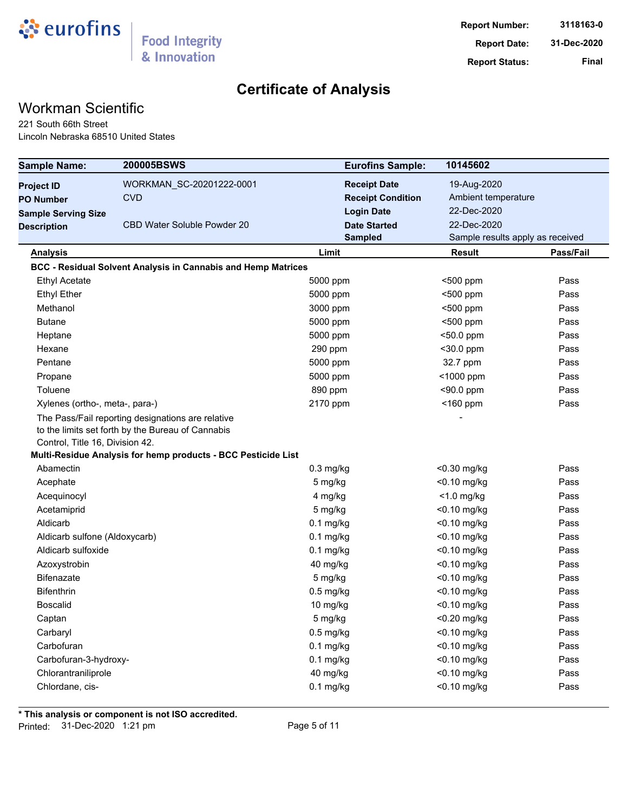

# Workman Scientific

221 South 66th Street Lincoln Nebraska 68510 United States

| <b>Sample Name:</b>             | <b>200005BSWS</b>                                                    | <b>Eurofins Sample:</b>  | 10145602                         |           |
|---------------------------------|----------------------------------------------------------------------|--------------------------|----------------------------------|-----------|
| <b>Project ID</b>               | WORKMAN_SC-20201222-0001                                             | <b>Receipt Date</b>      | 19-Aug-2020                      |           |
| <b>PO Number</b>                | <b>CVD</b>                                                           | <b>Receipt Condition</b> | Ambient temperature              |           |
| <b>Sample Serving Size</b>      |                                                                      | <b>Login Date</b>        | 22-Dec-2020                      |           |
| <b>Description</b>              | CBD Water Soluble Powder 20                                          | <b>Date Started</b>      | 22-Dec-2020                      |           |
|                                 |                                                                      | <b>Sampled</b>           | Sample results apply as received |           |
| <b>Analysis</b>                 |                                                                      | Limit                    | Result                           | Pass/Fail |
|                                 | <b>BCC - Residual Solvent Analysis in Cannabis and Hemp Matrices</b> |                          |                                  |           |
| <b>Ethyl Acetate</b>            |                                                                      | 5000 ppm                 | <500 ppm                         | Pass      |
| <b>Ethyl Ether</b>              |                                                                      | 5000 ppm                 | <500 ppm                         | Pass      |
| Methanol                        |                                                                      | 3000 ppm                 | <500 ppm                         | Pass      |
| <b>Butane</b>                   |                                                                      | 5000 ppm                 | <500 ppm                         | Pass      |
| Heptane                         |                                                                      | 5000 ppm                 | <50.0 ppm                        | Pass      |
| Hexane                          |                                                                      | 290 ppm                  | <30.0 ppm                        | Pass      |
| Pentane                         |                                                                      | 5000 ppm                 | 32.7 ppm                         | Pass      |
| Propane                         |                                                                      | 5000 ppm                 | <1000 ppm                        | Pass      |
| Toluene                         |                                                                      | 890 ppm                  | $<$ 90.0 ppm                     | Pass      |
| Xylenes (ortho-, meta-, para-)  |                                                                      | 2170 ppm                 | $<$ 160 ppm                      | Pass      |
|                                 | The Pass/Fail reporting designations are relative                    |                          |                                  |           |
|                                 | to the limits set forth by the Bureau of Cannabis                    |                          |                                  |           |
| Control, Title 16, Division 42. |                                                                      |                          |                                  |           |
|                                 | Multi-Residue Analysis for hemp products - BCC Pesticide List        |                          |                                  |           |
| Abamectin                       |                                                                      | $0.3$ mg/kg              | <0.30 mg/kg                      | Pass      |
| Acephate                        |                                                                      | 5 mg/kg                  | <0.10 mg/kg                      | Pass      |
| Acequinocyl                     |                                                                      | 4 mg/kg                  | $<$ 1.0 mg/kg                    | Pass      |
| Acetamiprid                     |                                                                      | 5 mg/kg                  | $<$ 0.10 mg/kg                   | Pass      |
| Aldicarb                        |                                                                      | $0.1$ mg/kg              | <0.10 mg/kg                      | Pass      |
| Aldicarb sulfone (Aldoxycarb)   |                                                                      | $0.1$ mg/kg              | $<$ 0.10 mg/kg                   | Pass      |
| Aldicarb sulfoxide              |                                                                      | $0.1$ mg/kg              | <0.10 mg/kg                      | Pass      |
| Azoxystrobin                    |                                                                      | 40 mg/kg                 | <0.10 mg/kg                      | Pass      |
| <b>Bifenazate</b>               |                                                                      | 5 mg/kg                  | <0.10 mg/kg                      | Pass      |
| <b>Bifenthrin</b>               |                                                                      | $0.5$ mg/kg              | <0.10 mg/kg                      | Pass      |
| <b>Boscalid</b>                 |                                                                      | 10 mg/kg                 | $<$ 0.10 mg/kg                   | Pass      |
| Captan                          |                                                                      | 5 mg/kg                  | <0.20 mg/kg                      | Pass      |
| Carbaryl                        |                                                                      | $0.5$ mg/kg              | <0.10 mg/kg                      | Pass      |
| Carbofuran                      |                                                                      | $0.1$ mg/kg              | <0.10 mg/kg                      | Pass      |
| Carbofuran-3-hydroxy-           |                                                                      | $0.1$ mg/kg              | <0.10 mg/kg                      | Pass      |
| Chlorantraniliprole             |                                                                      | 40 mg/kg                 | <0.10 mg/kg                      | Pass      |
| Chlordane, cis-                 |                                                                      | $0.1$ mg/kg              | <0.10 mg/kg                      | Pass      |
|                                 |                                                                      |                          |                                  |           |

**\* This analysis or component is not ISO accredited.**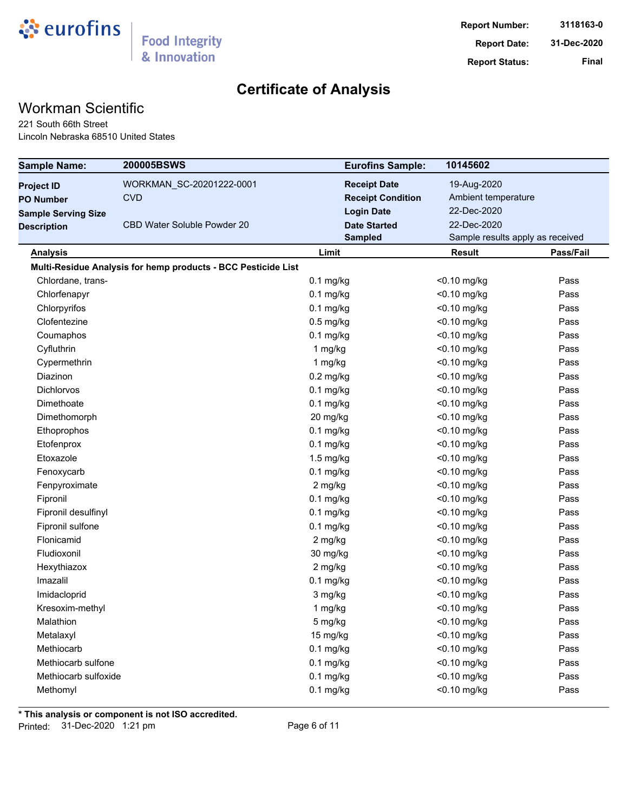

# Workman Scientific

221 South 66th Street Lincoln Nebraska 68510 United States

| <b>Sample Name:</b>        | 200005BSWS                                                    | <b>Eurofins Sample:</b>  | 10145602                         |           |
|----------------------------|---------------------------------------------------------------|--------------------------|----------------------------------|-----------|
| <b>Project ID</b>          | WORKMAN_SC-20201222-0001                                      | <b>Receipt Date</b>      | 19-Aug-2020                      |           |
| <b>PO Number</b>           | <b>CVD</b>                                                    | <b>Receipt Condition</b> | Ambient temperature              |           |
| <b>Sample Serving Size</b> |                                                               | <b>Login Date</b>        | 22-Dec-2020                      |           |
| <b>Description</b>         | <b>CBD Water Soluble Powder 20</b>                            | <b>Date Started</b>      | 22-Dec-2020                      |           |
|                            |                                                               | <b>Sampled</b>           | Sample results apply as received |           |
| <b>Analysis</b>            |                                                               | Limit                    | <b>Result</b>                    | Pass/Fail |
|                            | Multi-Residue Analysis for hemp products - BCC Pesticide List |                          |                                  |           |
| Chlordane, trans-          |                                                               | $0.1$ mg/kg              | <0.10 mg/kg                      | Pass      |
| Chlorfenapyr               |                                                               | $0.1$ mg/kg              | <0.10 mg/kg                      | Pass      |
| Chlorpyrifos               |                                                               | $0.1$ mg/kg              | $<$ 0.10 mg/kg                   | Pass      |
| Clofentezine               |                                                               | $0.5$ mg/kg              | <0.10 mg/kg                      | Pass      |
| Coumaphos                  |                                                               | $0.1$ mg/kg              | $<$ 0.10 mg/kg                   | Pass      |
| Cyfluthrin                 |                                                               | 1 mg/kg                  | <0.10 mg/kg                      | Pass      |
| Cypermethrin               |                                                               | 1 mg/kg                  | <0.10 mg/kg                      | Pass      |
| Diazinon                   |                                                               | $0.2$ mg/kg              | <0.10 mg/kg                      | Pass      |
| <b>Dichlorvos</b>          |                                                               | $0.1$ mg/kg              | $<$ 0.10 mg/kg                   | Pass      |
| Dimethoate                 |                                                               | $0.1$ mg/kg              | <0.10 mg/kg                      | Pass      |
| Dimethomorph               |                                                               | 20 mg/kg                 | <0.10 mg/kg                      | Pass      |
| Ethoprophos                |                                                               | $0.1$ mg/kg              | <0.10 mg/kg                      | Pass      |
| Etofenprox                 |                                                               | $0.1$ mg/kg              | <0.10 mg/kg                      | Pass      |
| Etoxazole                  |                                                               | $1.5$ mg/kg              | <0.10 mg/kg                      | Pass      |
| Fenoxycarb                 |                                                               | $0.1$ mg/kg              | <0.10 mg/kg                      | Pass      |
| Fenpyroximate              |                                                               | 2 mg/kg                  | $<$ 0.10 mg/kg                   | Pass      |
| Fipronil                   |                                                               | $0.1$ mg/kg              | <0.10 mg/kg                      | Pass      |
| Fipronil desulfinyl        |                                                               | $0.1$ mg/kg              | $<$ 0.10 mg/kg                   | Pass      |
| Fipronil sulfone           |                                                               | $0.1$ mg/kg              | <0.10 mg/kg                      | Pass      |
| Flonicamid                 |                                                               | 2 mg/kg                  | $<$ 0.10 mg/kg                   | Pass      |
| Fludioxonil                |                                                               | 30 mg/kg                 | <0.10 mg/kg                      | Pass      |
| Hexythiazox                |                                                               | 2 mg/kg                  | <0.10 mg/kg                      | Pass      |
| Imazalil                   |                                                               | $0.1$ mg/kg              | <0.10 mg/kg                      | Pass      |
| Imidacloprid               |                                                               | 3 mg/kg                  | $<$ 0.10 mg/kg                   | Pass      |
| Kresoxim-methyl            |                                                               | 1 mg/kg                  | <0.10 mg/kg                      | Pass      |
| Malathion                  |                                                               | 5 mg/kg                  | <0.10 mg/kg                      | Pass      |
| Metalaxyl                  |                                                               | 15 mg/kg                 | $<$ 0.10 mg/kg                   | Pass      |
| Methiocarb                 |                                                               | $0.1$ mg/kg              | <0.10 mg/kg                      | Pass      |
| Methiocarb sulfone         |                                                               | $0.1$ mg/kg              | <0.10 mg/kg                      | Pass      |
| Methiocarb sulfoxide       |                                                               | $0.1$ mg/kg              | <0.10 mg/kg                      | Pass      |
| Methomyl                   |                                                               | $0.1$ mg/kg              | <0.10 mg/kg                      | Pass      |

**\* This analysis or component is not ISO accredited.**

Printed: 31-Dec-2020 1:21 pm Page 6 of 11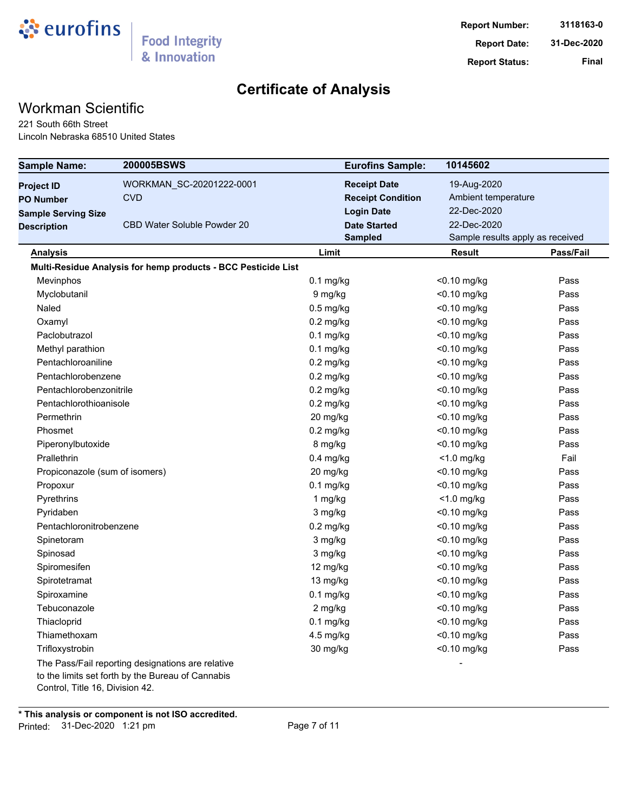

# Workman Scientific

221 South 66th Street Lincoln Nebraska 68510 United States

| <b>Sample Name:</b>             | 200005BSWS                                                                                             | <b>Eurofins Sample:</b>  | 10145602                         |           |
|---------------------------------|--------------------------------------------------------------------------------------------------------|--------------------------|----------------------------------|-----------|
| <b>Project ID</b>               | WORKMAN_SC-20201222-0001                                                                               | <b>Receipt Date</b>      | 19-Aug-2020                      |           |
| <b>PO Number</b>                | <b>CVD</b>                                                                                             | <b>Receipt Condition</b> | Ambient temperature              |           |
| <b>Sample Serving Size</b>      |                                                                                                        | <b>Login Date</b>        | 22-Dec-2020                      |           |
| <b>Description</b>              | <b>CBD Water Soluble Powder 20</b>                                                                     | <b>Date Started</b>      | 22-Dec-2020                      |           |
|                                 |                                                                                                        | <b>Sampled</b>           | Sample results apply as received |           |
| <b>Analysis</b>                 |                                                                                                        | Limit                    | <b>Result</b>                    | Pass/Fail |
|                                 | Multi-Residue Analysis for hemp products - BCC Pesticide List                                          |                          |                                  |           |
| Mevinphos                       |                                                                                                        | $0.1$ mg/kg              | $<$ 0.10 mg/kg                   | Pass      |
| Myclobutanil                    |                                                                                                        | 9 mg/kg                  | <0.10 mg/kg                      | Pass      |
| Naled                           |                                                                                                        | $0.5$ mg/kg              | $<$ 0.10 mg/kg                   | Pass      |
| Oxamyl                          |                                                                                                        | $0.2$ mg/kg              | <0.10 mg/kg                      | Pass      |
| Paclobutrazol                   |                                                                                                        | $0.1$ mg/kg              | $<$ 0.10 mg/kg                   | Pass      |
| Methyl parathion                |                                                                                                        | $0.1$ mg/kg              | <0.10 mg/kg                      | Pass      |
| Pentachloroaniline              |                                                                                                        | $0.2$ mg/kg              | <0.10 mg/kg                      | Pass      |
| Pentachlorobenzene              |                                                                                                        | $0.2$ mg/kg              | <0.10 mg/kg                      | Pass      |
| Pentachlorobenzonitrile         |                                                                                                        | $0.2$ mg/kg              | $<$ 0.10 mg/kg                   | Pass      |
| Pentachlorothioanisole          |                                                                                                        | $0.2$ mg/kg              | <0.10 mg/kg                      | Pass      |
| Permethrin                      |                                                                                                        | 20 mg/kg                 | <0.10 mg/kg                      | Pass      |
| Phosmet                         |                                                                                                        | $0.2$ mg/kg              | $<$ 0.10 mg/kg                   | Pass      |
| Piperonylbutoxide               |                                                                                                        | 8 mg/kg                  | <0.10 mg/kg                      | Pass      |
| Prallethrin                     |                                                                                                        | $0.4$ mg/kg              | $<$ 1.0 mg/kg                    | Fail      |
| Propiconazole (sum of isomers)  |                                                                                                        | 20 mg/kg                 | $<$ 0.10 mg/kg                   | Pass      |
| Propoxur                        |                                                                                                        | $0.1$ mg/kg              | <0.10 mg/kg                      | Pass      |
| Pyrethrins                      |                                                                                                        | 1 mg/kg                  | $<$ 1.0 mg/kg                    | Pass      |
| Pyridaben                       |                                                                                                        | 3 mg/kg                  | $<$ 0.10 mg/kg                   | Pass      |
| Pentachloronitrobenzene         |                                                                                                        | $0.2$ mg/kg              | <0.10 mg/kg                      | Pass      |
| Spinetoram                      |                                                                                                        | 3 mg/kg                  | <0.10 mg/kg                      | Pass      |
| Spinosad                        |                                                                                                        | 3 mg/kg                  | <0.10 mg/kg                      | Pass      |
| Spiromesifen                    |                                                                                                        | 12 mg/kg                 | <0.10 mg/kg                      | Pass      |
| Spirotetramat                   |                                                                                                        | 13 mg/kg                 | <0.10 mg/kg                      | Pass      |
| Spiroxamine                     |                                                                                                        | $0.1$ mg/kg              | $<$ 0.10 mg/kg                   | Pass      |
| Tebuconazole                    |                                                                                                        | 2 mg/kg                  | <0.10 mg/kg                      | Pass      |
| Thiacloprid                     |                                                                                                        | $0.1$ mg/kg              | $<$ 0.10 mg/kg                   | Pass      |
| Thiamethoxam                    |                                                                                                        | 4.5 mg/kg                | <0.10 mg/kg                      | Pass      |
| Trifloxystrobin                 |                                                                                                        | 30 mg/kg                 | <0.10 mg/kg                      | Pass      |
| Control, Title 16, Division 42. | The Pass/Fail reporting designations are relative<br>to the limits set forth by the Bureau of Cannabis |                          |                                  |           |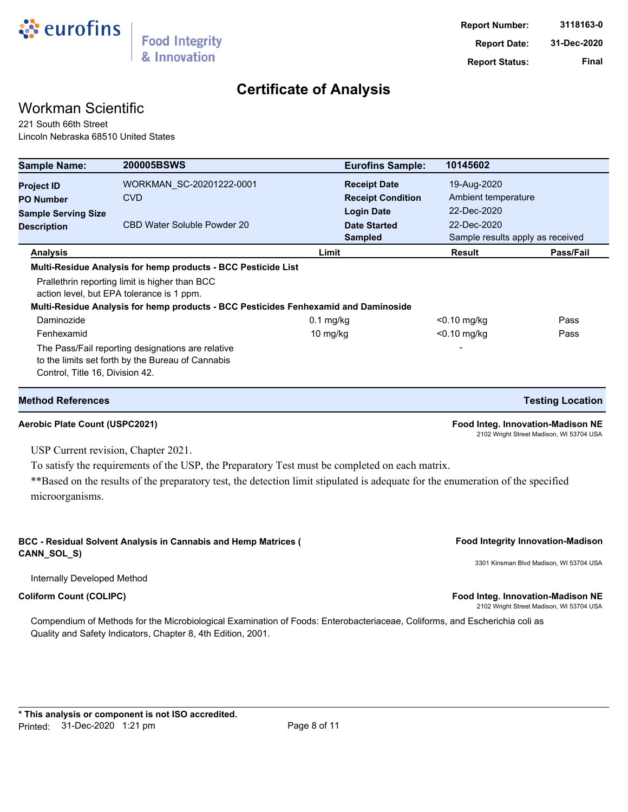

## Workman Scientific

221 South 66th Street Lincoln Nebraska 68510 United States

| <b>Sample Name:</b>             | <b>200005BSWS</b>                                                                                                                | <b>Eurofins Sample:</b>  | 10145602                         |                                  |
|---------------------------------|----------------------------------------------------------------------------------------------------------------------------------|--------------------------|----------------------------------|----------------------------------|
| <b>Project ID</b>               | WORKMAN_SC-20201222-0001                                                                                                         | <b>Receipt Date</b>      | 19-Aug-2020                      |                                  |
| <b>PO Number</b>                | <b>CVD</b>                                                                                                                       | <b>Receipt Condition</b> | Ambient temperature              |                                  |
| <b>Sample Serving Size</b>      |                                                                                                                                  | <b>Login Date</b>        | 22-Dec-2020                      |                                  |
| <b>Description</b>              | CBD Water Soluble Powder 20                                                                                                      | <b>Date Started</b>      | 22-Dec-2020                      |                                  |
|                                 |                                                                                                                                  | <b>Sampled</b>           |                                  | Sample results apply as received |
| <b>Analysis</b>                 |                                                                                                                                  | Limit                    | Result                           | Pass/Fail                        |
|                                 | action level, but EPA tolerance is 1 ppm.<br>Multi-Residue Analysis for hemp products - BCC Pesticides Fenhexamid and Daminoside |                          |                                  |                                  |
| Daminozide                      |                                                                                                                                  |                          |                                  | Pass                             |
| Fenhexamid                      |                                                                                                                                  | $0.1$ mg/kg<br>10 mg/kg  | $<$ 0.10 mg/kg<br>$<$ 0.10 mg/kg | Pass                             |
|                                 | The Pass/Fail reporting designations are relative                                                                                |                          |                                  |                                  |
|                                 | to the limits set forth by the Bureau of Cannabis                                                                                |                          |                                  |                                  |
| Control, Title 16, Division 42. |                                                                                                                                  |                          |                                  |                                  |
| <b>Method References</b>        |                                                                                                                                  |                          |                                  | <b>Testing Location</b>          |

**Aerobic Plate Count (USPC2021) Food Integ. Innovation-Madison NE** 2102 Wright Street Madison, WI 53704 USA

USP Current revision, Chapter 2021.

To satisfy the requirements of the USP, the Preparatory Test must be completed on each matrix.

\*\*Based on the results of the preparatory test, the detection limit stipulated is adequate for the enumeration of the specified microorganisms.

#### BCC - Residual Solvent Analysis in Cannabis and Hemp Matrices (*Cannel State Secure 1994)* Food Integrity Innovation-Madison **CANN\_SOL\_S)**

3301 Kinsman Blvd Madison, WI 53704 USA

Internally Developed Method

Compendium of Methods for the Microbiological Examination of Foods: Enterobacteriaceae, Coliforms, and Escherichia coli as Quality and Safety Indicators, Chapter 8, 4th Edition, 2001.

**Coliform Count (COLIPC) Food Integ. Innovation-Madison NE** 2102 Wright Street Madison, WI 53704 USA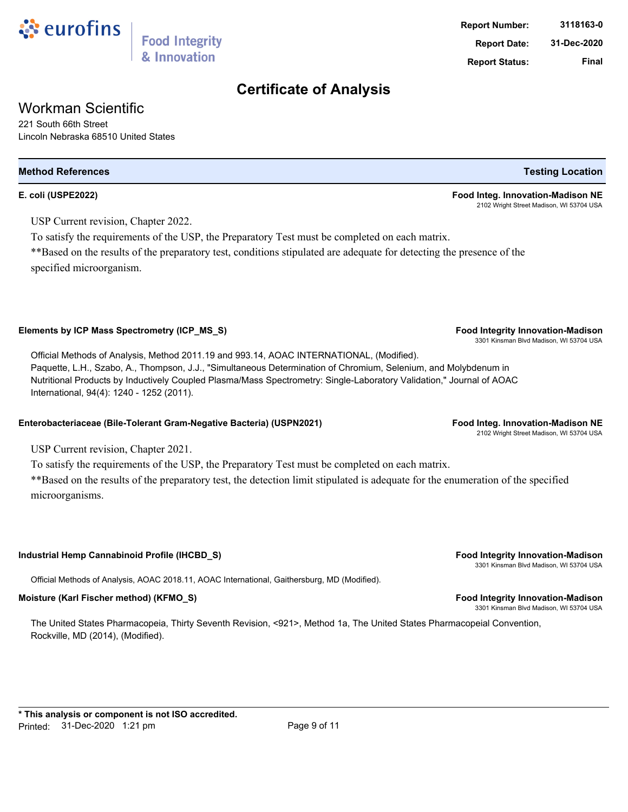

## Workman Scientific

221 South 66th Street Lincoln Nebraska 68510 United States

# **Method References Testing Location**

USP Current revision, Chapter 2022.

To satisfy the requirements of the USP, the Preparatory Test must be completed on each matrix.

\*\*Based on the results of the preparatory test, conditions stipulated are adequate for detecting the presence of the specified microorganism.

### **Elements by ICP Mass Spectrometry (ICP\_MS\_S) Food Integrity Innovation-Madison**

Official Methods of Analysis, Method 2011.19 and 993.14, AOAC INTERNATIONAL, (Modified). Paquette, L.H., Szabo, A., Thompson, J.J., "Simultaneous Determination of Chromium, Selenium, and Molybdenum in Nutritional Products by Inductively Coupled Plasma/Mass Spectrometry: Single-Laboratory Validation," Journal of AOAC International, 94(4): 1240 - 1252 (2011).

#### **Enterobacteriaceae (Bile-Tolerant Gram-Negative Bacteria) (USPN2021) Food Integ. Innovation-Madison NE**

USP Current revision, Chapter 2021.

To satisfy the requirements of the USP, the Preparatory Test must be completed on each matrix. \*\*Based on the results of the preparatory test, the detection limit stipulated is adequate for the enumeration of the specified microorganisms.

### **Industrial Hemp Cannabinoid Profile (IHCBD\_S) Food Integrity Innovation-Madison**

Official Methods of Analysis, AOAC 2018.11, AOAC International, Gaithersburg, MD (Modified).

### **Moisture (Karl Fischer method) (KFMO\_S) Food Integrity Innovation-Madison**

The United States Pharmacopeia, Thirty Seventh Revision, <921>, Method 1a, The United States Pharmacopeial Convention, Rockville, MD (2014), (Modified).

**E. coli (USPE2022) Food Integ. Innovation-Madison NE** 2102 Wright Street Madison, WI 53704 USA

3301 Kinsman Blvd Madison, WI 53704 USA

2102 Wright Street Madison, WI 53704 USA

3301 Kinsman Blvd Madison, WI 53704 USA

3301 Kinsman Blvd Madison, WI 53704 USA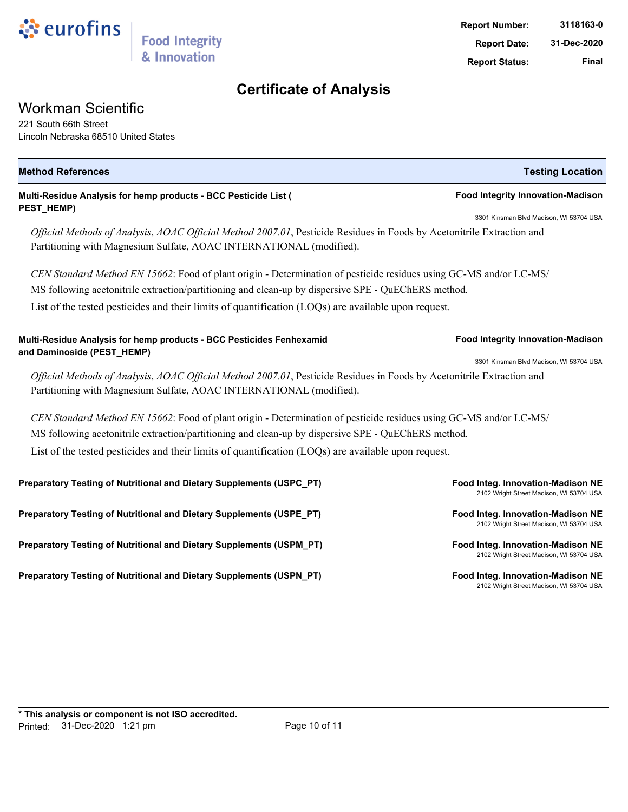

### Workman Scientific

221 South 66th Street Lincoln Nebraska 68510 United States

| <b>Method References</b>                                                                                                                                                                      | <b>Testing Location</b>                                                       |  |  |  |
|-----------------------------------------------------------------------------------------------------------------------------------------------------------------------------------------------|-------------------------------------------------------------------------------|--|--|--|
| Multi-Residue Analysis for hemp products - BCC Pesticide List (                                                                                                                               | <b>Food Integrity Innovation-Madison</b>                                      |  |  |  |
| PEST_HEMP)                                                                                                                                                                                    | 3301 Kinsman Blvd Madison, WI 53704 USA                                       |  |  |  |
| Official Methods of Analysis, AOAC Official Method 2007.01, Pesticide Residues in Foods by Acetonitrile Extraction and<br>Partitioning with Magnesium Sulfate, AOAC INTERNATIONAL (modified). |                                                                               |  |  |  |
| CEN Standard Method EN 15662: Food of plant origin - Determination of pesticide residues using GC-MS and/or LC-MS/                                                                            |                                                                               |  |  |  |
| MS following acetonitrile extraction/partitioning and clean-up by dispersive SPE - QuEChERS method.                                                                                           |                                                                               |  |  |  |
| List of the tested pesticides and their limits of quantification (LOQs) are available upon request.                                                                                           |                                                                               |  |  |  |
| Multi-Residue Analysis for hemp products - BCC Pesticides Fenhexamid<br>and Daminoside (PEST_HEMP)                                                                                            | <b>Food Integrity Innovation-Madison</b>                                      |  |  |  |
| 3301 Kinsman Blvd Madison, WI 53704 USA                                                                                                                                                       |                                                                               |  |  |  |
| Official Methods of Analysis, AOAC Official Method 2007.01, Pesticide Residues in Foods by Acetonitrile Extraction and<br>Partitioning with Magnesium Sulfate, AOAC INTERNATIONAL (modified). |                                                                               |  |  |  |
| CEN Standard Method EN 15662: Food of plant origin - Determination of pesticide residues using GC-MS and/or LC-MS/                                                                            |                                                                               |  |  |  |
| MS following acetonitrile extraction/partitioning and clean-up by dispersive SPE - QuEChERS method.                                                                                           |                                                                               |  |  |  |
| List of the tested pesticides and their limits of quantification (LOQs) are available upon request.                                                                                           |                                                                               |  |  |  |
| Preparatory Testing of Nutritional and Dietary Supplements (USPC_PT)                                                                                                                          | Food Integ. Innovation-Madison NE<br>2102 Wright Street Madison, WI 53704 USA |  |  |  |
| Preparatory Testing of Nutritional and Dietary Supplements (USPE_PT)                                                                                                                          | Food Integ. Innovation-Madison NE<br>2102 Wright Street Madison, WI 53704 USA |  |  |  |
| Preparatory Testing of Nutritional and Dietary Supplements (USPM_PT)                                                                                                                          | Food Integ. Innovation-Madison NE<br>2102 Wright Street Madison, WI 53704 USA |  |  |  |
| Preparatory Testing of Nutritional and Dietary Supplements (USPN_PT)                                                                                                                          | Food Integ. Innovation-Madison NE<br>2102 Wright Street Madison, WI 53704 USA |  |  |  |
|                                                                                                                                                                                               |                                                                               |  |  |  |